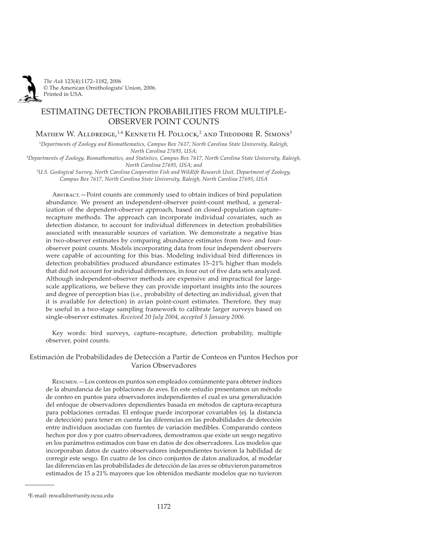

# ESTIMATING DETECTION PROBABILITIES FROM MULTIPLE-OBSERVER POINT COUNTS

Mathew W. Alldredge,<sup>1,4</sup> Kenneth H. Pollock,<sup>2</sup> and Theodore R. Simons<sup>3</sup>

1 *Departments of Zoology and Biomathematics, Campus Box 7617, North Carolina State University, Raleigh, North Carolina 27695, USA;*

2 *Departments of Zoology, Biomathematics, and Statistics, Campus Box 7617, North Carolina State University, Raleigh, North Carolina 27695, USA; and*

3 *U.S. Geological Survey, North Carolina Cooperative Fish and Wildlife Research Unit, Department of Zoology, Campus Box 7617, North Carolina State University, Raleigh, North Carolina 27695*, *USA*

Abstract. – Point counts are commonly used to obtain indices of bird population abundance. We present an independent-observer point-count method, a generalization of the dependent-observer approach, based on closed-population capture– recapture methods. The approach can incorporate individual covariates, such as detection distance, to account for individual differences in detection probabilities associated with measurable sources of variation. We demonstrate a negative bias in two-observer estimates by comparing abundance estimates from two- and fourobserver point counts. Models incorporating data from four independent observers were capable of accounting for this bias. Modeling individual bird differences in detection probabilities produced abundance estimates 15–21% higher than models that did not account for individual differences, in four out of five data sets analyzed. Although independent-observer methods are expensive and impractical for largescale applications, we believe they can provide important insights into the sources and degree of perception bias (i.e., probability of detecting an individual, given that it is available for detection) in avian point-count estimates. Therefore, they may be useful in a two-stage sampling framework to calibrate larger surveys based on single-observer estimates. *Received 20 July 2004, accepted 5 January 2006.*

Key words: bird surveys, capture–recapture, detection probability, multiple observer, point counts.

# Estimación de Probabilidades de Detección a Partir de Conteos en Puntos Hechos por Varios Observadores

R .—Los conteos en puntos son empleados comúnmente para obtener índices de la abundancia de las poblaciones de aves. En este estudio presentamos un método de conteo en puntos para observadores independientes el cual es una generalización del enfoque de observadores dependientes basada en métodos de captura-recaptura para poblaciones cerradas. El enfoque puede incorporar covariables (ej. la distancia de detección) para tener en cuenta las diferencias en las probabilidades de detección entre individuos asociadas con fuentes de variación medibles. Comparando conteos hechos por dos y por cuatro observadores, demostramos que existe un sesgo negativo en los parámetros estimados con base en datos de dos observadores. Los modelos que incorporaban datos de cuatro observadores independientes tuvieron la habilidad de corregir este sesgo. En cuatro de los cinco conjuntos de datos analizados, al modelar las diferencias en las probabilidades de detección de las aves se obtuvieron parametros estimados de 15 a 21% mayores que los obtenidos mediante modelos que no tuvieron

<sup>4</sup> E-mail: mwalldre@unity.ncsu.edu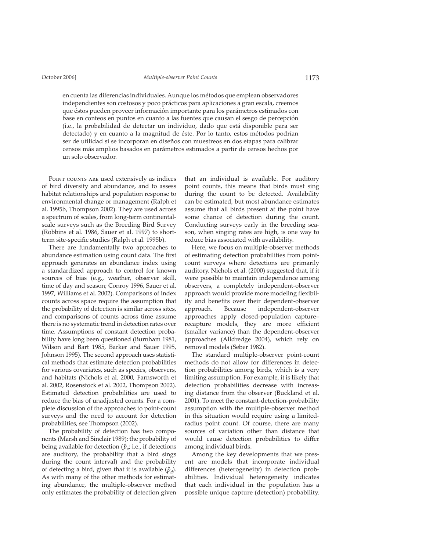en cuenta las diferencias individuales. Aunque los métodos que emplean observadores independientes son costosos y poco prácticos para aplicaciones a gran escala, creemos que éstos pueden proveer información importante para los parámetros estimados con base en conteos en puntos en cuanto a las fuentes que causan el sesgo de percepción (i.e., la probabilidad de detectar un individuo, dado que está disponible para ser detectado) y en cuanto a la magnitud de éste. Por lo tanto, estos métodos podrían ser de utilidad si se incorporan en diseños con muestreos en dos etapas para calibrar censos más amplios basados en parámetros estimados a partir de censos hechos por un solo observador.

POINT COUNTS ARE used extensively as indices of bird diversity and abundance, and to assess habitat relationships and population response to environmental change or management (Ralph et al. 1995b, Thompson 2002). They are used across a spectrum of scales, from long-term continentalscale surveys such as the Breeding Bird Survey (Robbins et al. 1986, Sauer et al. 1997) to shortterm site-specific studies (Ralph et al. 1995b).

There are fundamentally two approaches to abundance estimation using count data. The first approach generates an abundance index using a standardized approach to control for known sources of bias (e.g., weather, observer skill, time of day and season; Conroy 1996, Sauer et al. 1997, Williams et al. 2002). Comparisons of index counts across space require the assumption that the probability of detection is similar across sites, and comparisons of counts across time assume there is no systematic trend in detection rates over time. Assumptions of constant detection probability have long been questioned (Burnham 1981, Wilson and Bart 1985, Barker and Sauer 1995, Johnson 1995). The second approach uses statistical methods that estimate detection probabilities for various covariates, such as species, observers, and habitats (Nichols et al. 2000, Farnsworth et al. 2002, Rosenstock et al. 2002, Thompson 2002). Estimated detection probabilities are used to reduce the bias of unadjusted counts. For a complete discussion of the approaches to point-count surveys and the need to account for detection probabilities, see Thompson (2002).

The probability of detection has two components (Marsh and Sinclair 1989): the probability of being available for detection  $(\hat{p}_i; i.e., i$  if detections are auditory, the probability that a bird sings during the count interval) and the probability of detecting a bird, given that it is available  $(\hat{p}_d)$ . As with many of the other methods for estimating abundance, the multiple-observer method only estimates the probability of detection given

that an individual is available. For auditory point counts, this means that birds must sing during the count to be detected. Availability can be estimated, but most abundance estimates assume that all birds present at the point have some chance of detection during the count. Conducting surveys early in the breeding season, when singing rates are high, is one way to reduce bias associated with availability.

Here, we focus on multiple-observer methods of estimating detection probabilities from pointcount surveys where detections are primarily auditory. Nichols et al. (2000) suggested that, if it were possible to maintain independence among observers, a completely independent-observer approach would provide more modeling flexibility and benefits over their dependent-observer approach. Because independent-observer approaches apply closed-population capturerecapture models, they are more efficient (smaller variance) than the dependent-observer approaches (Alldredge 2004), which rely on removal models (Seber 1982).

The standard multiple-observer point-count methods do not allow for differences in detection probabilities among birds, which is a very limiting assumption. For example, it is likely that detection probabilities decrease with increasing distance from the observer (Buckland et al. 2001). To meet the constant-detection-probability assumption with the multiple-observer method in this situation would require using a limitedradius point count. Of course, there are many sources of variation other than distance that would cause detection probabilities to differ among individual birds.

Among the key developments that we present are models that incorporate individual differences (heterogeneity) in detection probabilities. Individual heterogeneity indicates that each individual in the population has a possible unique capture (detection) probability.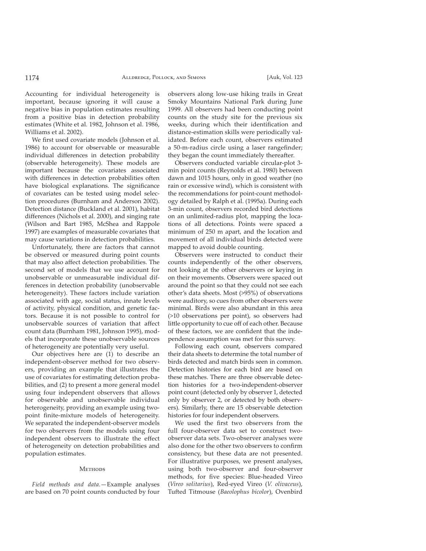Accounting for individual heterogeneity is important, because ignoring it will cause a negative bias in population estimates resulting from a positive bias in detection probability estimates (White et al. 1982, Johnson et al. 1986, Williams et al. 2002).

We first used covariate models (Johnson et al. 1986) to account for observable or measurable individual differences in detection probability (observable heterogeneity). These models are important because the covariates associated with differences in detection probabilities often have biological explanations. The significance of covariates can be tested using model selection procedures (Burnham and Anderson 2002). Detection distance (Buckland et al. 2001), habitat differences (Nichols et al. 2000), and singing rate (Wilson and Bart 1985, McShea and Rappole 1997) are examples of measurable covariates that may cause variations in detection probabilities.

Unfortunately, there are factors that cannot be observed or measured during point counts that may also affect detection probabilities. The second set of models that we use account for unobservable or unmeasurable individual differences in detection probability (unobservable heterogeneity). These factors include variation associated with age, social status, innate levels of activity, physical condition, and genetic factors. Because it is not possible to control for unobservable sources of variation that affect count data (Burnham 1981, Johnson 1995), models that incorporate these unobservable sources of heterogeneity are potentially very useful.

Our objectives here are (1) to describe an independent-observer method for two observers, providing an example that illustrates the use of covariates for estimating detection probabilities, and (2) to present a more general model using four independent observers that allows for observable and unobservable individual heterogeneity, providing an example using twopoint finite-mixture models of heterogeneity. We separated the independent-observer models for two observers from the models using four independent observers to illustrate the effect of heterogeneity on detection probabilities and population estimates.

#### Methods

*Field methods and data*.—Example analyses are based on 70 point counts conducted by four

observers along low-use hiking trails in Great Smoky Mountains National Park during June 1999. All observers had been conducting point counts on the study site for the previous six weeks, during which their identification and distance-estimation skills were periodically validated. Before each count, observers estimated a 50-m-radius circle using a laser rangefinder; they began the count immediately thereafter.

Observers conducted variable circular-plot 3 min point counts (Reynolds et al. 1980) between dawn and 1015 hours, only in good weather (no rain or excessive wind), which is consistent with the recommendations for point-count methodology detailed by Ralph et al. (1995a). During each 3-min count, observers recorded bird detections on an unlimited-radius plot, mapping the locations of all detections. Points were spaced a minimum of 250 m apart, and the location and movement of all individual birds detected were mapped to avoid double counting.

Observers were instructed to conduct their counts independently of the other observers, not looking at the other observers or keying in on their movements. Observers were spaced out around the point so that they could not see each other's data sheets. Most (>95%) of observations were auditory, so cues from other observers were minimal. Birds were also abundant in this area (>10 observations per point), so observers had little opportunity to cue off of each other. Because of these factors, we are confident that the independence assumption was met for this survey.

Following each count, observers compared their data sheets to determine the total number of birds detected and match birds seen in common. Detection histories for each bird are based on these matches. There are three observable detection histories for a two-independent-observer point count (detected only by observer 1, detected only by observer 2, or detected by both observers). Similarly, there are 15 observable detection histories for four independent observers.

We used the first two observers from the full four-observer data set to construct twoobserver data sets. Two-observer analyses were also done for the other two observers to confirm consistency, but these data are not presented. For illustrative purposes, we present analyses, using both two-observer and four-observer methods, for five species: Blue-headed Vireo (*Vireo solitarius*), Red-eyed Vireo (*V. olivaceus*), Tufted Titmouse (*Baeolophus bicolor*), Ovenbird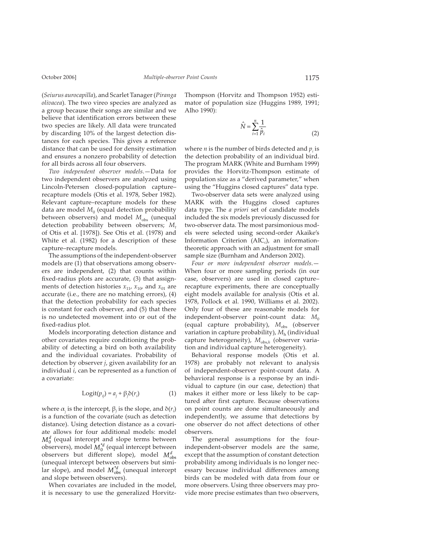(*Seiurus aurocapilla*), and Scarlet Tanager (*Piranga olivacea*). The two vireo species are analyzed as a group because their songs are similar and we believe that identification errors between these two species are likely. All data were truncated by discarding 10% of the largest detection distances for each species. This gives a reference distance that can be used for density estimation and ensures a nonzero probability of detection for all birds across all four observers.

*Two independent observer models*.—Data for two independent observers are analyzed using Lincoln-Petersen closed-population capture– recapture models (Otis et al. 1978, Seber 1982). Relevant capture–recapture models for these data are model  $M<sub>0</sub>$  (equal detection probability between observers) and model M<sub>obs</sub> (unequal detection probability between observers; *Mt* of Otis et al. [1978]). See Otis et al. (1978) and White et al. (1982) for a description of these capture–recapture models.

The assumptions of the independent-observer models are (1) that observations among observers are independent, (2) that counts within fixed-radius plots are accurate, (3) that assignments of detection histories  $x_{11}$ ,  $x_{10}$ , and  $x_{01}$  are accurate (i.e., there are no matching errors), (4) that the detection probability for each species is constant for each observer, and (5) that there is no undetected movement into or out of the fixed-radius plot.

Models incorporating detection distance and other covariates require conditioning the probability of detecting a bird on both availability and the individual covariates. Probability of detection by observer *j*, given availability for an individual *i*, can be represented as a function of a covariate:

$$
Logit(p_{ij}) = a_j + \beta_j \delta(r_i)
$$
 (1)

where  $\alpha_j$  is the intercept,  $\beta_j$  is the slope, and  $\delta(r_i)$ is a function of the covariate (such as detection distance). Using detection distance as a covariate allows for four additional models: model  $M_0^d$  (equal intercept and slope terms between observers), model  $M_0^{d}$  (equal intercept between observers but different slope), model  $M_{obs}^{d}$ (unequal intercept between observers but similar slope), and model  $M_{obs}^{d}$  (unequal intercept and slope between observers).

When covariates are included in the model, it is necessary to use the generalized HorvitzThompson (Horvitz and Thompson 1952) estimator of population size (Huggins 1989, 1991; Alho 1990):

$$
\hat{N} = \sum_{i=1}^{n} \frac{1}{\hat{p}_i} \tag{2}
$$

where  $n$  is the number of birds detected and  $p_i$  is the detection probability of an individual bird. The program MARK (White and Burnham 1999) provides the Horvitz-Thompson estimate of population size as a "derived parameter," when using the "Huggins closed captures" data type.

Two-observer data sets were analyzed using MARK with the Huggins closed captures data type. The *a priori* set of candidate models included the six models previously discussed for two-observer data. The most parsimonious models were selected using second-order Akaike's Information Criterion  $(AIC<sub>c</sub>)$ , an informationtheoretic approach with an adjustment for small sample size (Burnham and Anderson 2002).

*Four or more independent observer models*.— When four or more sampling periods (in our case, observers) are used in closed capture– recapture experiments, there are conceptually eight models available for analysis (Otis et al. 1978, Pollock et al. 1990, Williams et al. 2002). Only four of these are reasonable models for independent-observer point-count data: M<sub>0</sub> (equal capture probability),  $M_{obs}$  (observer variation in capture probability),  $M<sub>h</sub>$  (individual capture heterogeneity),  $M_{obs,h}$  (observer variation and individual capture heterogeneity).

Behavioral response models (Otis et al. 1978) are probably not relevant to analysis of independent-observer point-count data. A behavioral response is a response by an individual to capture (in our case, detection) that makes it either more or less likely to be captured after first capture. Because observations on point counts are done simultaneously and independently, we assume that detections by one observer do not affect detections of other observers.

The general assumptions for the fourindependent-observer models are the same, except that the assumption of constant detection probability among individuals is no longer necessary because individual differences among birds can be modeled with data from four or more observers. Using three observers may provide more precise estimates than two observers,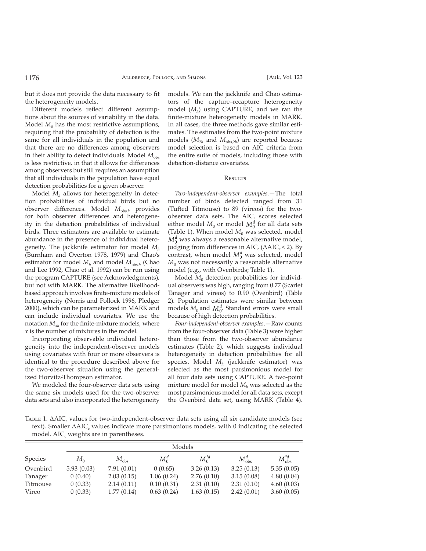but it does not provide the data necessary to fit the heterogeneity models.

Different models reflect different assumptions about the sources of variability in the data. Model  $M_0$  has the most restrictive assumptions, requiring that the probability of detection is the same for all individuals in the population and that there are no differences among observers in their ability to detect individuals. Model  $M_{obs}$ is less restrictive, in that it allows for differences among observers but still requires an assumption that all individuals in the population have equal detection probabilities for a given observer.

Model *Mh* allows for heterogeneity in detection probabilities of individual birds but no observer differences. Model  $M_{\text{obs},h}$  provides for both observer differences and heterogeneity in the detection probabilities of individual birds. Three estimators are available to estimate abundance in the presence of individual heterogeneity. The jackknife estimator for model *Mh* (Burnham and Overton 1978, 1979) and Chao's estimator for model  $M_h$  and model  $M_{obs,h}$  (Chao and Lee 1992, Chao et al. 1992) can be run using the program CAPTURE (see Acknowledgments), but not with MARK. The alternative likelihoodbased approach involves finite-mixture models of heterogeneity (Norris and Pollock 1996, Pledger 2000), which can be parameterized in MARK and can include individual covariates. We use the notation  $M_{rh}$  for the finite-mixture models, where *x* is the number of mixtures in the model.

Incorporating observable individual heterogeneity into the independent-observer models using covariates with four or more observers is identical to the procedure described above for the two-observer situation using the generalized Horvitz-Thompson estimator.

We modeled the four-observer data sets using the same six models used for the two-observer data sets and also incorporated the heterogeneity models. We ran the jackknife and Chao estimators of the capture–recapture heterogeneity model (*Mh*) using CAPTURE, and we ran the finite-mixture heterogeneity models in MARK. In all cases, the three methods gave similar estimates. The estimates from the two-point mixture models  $(M_{2h}$  and  $M_{obs,2h}$ ) are reported because model selection is based on AIC criteria from the entire suite of models, including those with detection-distance covariates.

## Results

*Two-independent-observer examples*.—The total number of birds detected ranged from 31 (Tufted Titmouse) to 89 (vireos) for the twoobserver data sets. The AIC<sub>c</sub> scores selected either model  $M_0$  or model  $M_0^d$  for all data sets (Table 1). When model  $M_0$  was selected, model  $M_0^d$  was always a reasonable alternative model, judging from differences in  $AIC_c(\Delta AIC_c < 2)$ . By contrast, when model  $M_0^d$  was selected, model  $M<sub>0</sub>$  was not necessarily a reasonable alternative model (e.g., with Ovenbirds; Table 1).

Model  $M_0$  detection probabilities for individual observers was high, ranging from 0.77 (Scarlet Tanager and vireos) to 0.90 (Ovenbird) (Table 2). Population estimates were similar between models  $M_0$  and  $M_0^d$ . Standard errors were small because of high detection probabilities.

*Four-independent-observer examples*.—Raw counts from the four-observer data (Table 3) were higher than those from the two-observer abundance estimates (Table 2), which suggests individual heterogeneity in detection probabilities for all species. Model *Mh* (jackknife estimator) was selected as the most parsimonious model for all four data sets using CAPTURE. A two-point mixture model for model *Mh* was selected as the most parsimonious model for all data sets, except the Ovenbird data set, using MARK (Table 4).

TABLE 1. ∆AIC<sub>c</sub> values for two-independent-observer data sets using all six candidate models (see text). Smaller ∆AIC<sub>c</sub> values indicate more parsimonious models, with 0 indicating the selected model. AIC $_{c}$  weights are in parentheses.

|                | Models       |               |            |            |                 |                    |  |  |
|----------------|--------------|---------------|------------|------------|-----------------|--------------------|--|--|
| <b>Species</b> | $M_{\alpha}$ | $M_{\rm obs}$ | $M_0^d$    | $M_0^{*d}$ | $M_{\rm obs}^d$ | $M_{\rm obs}^{*d}$ |  |  |
| Ovenbird       | 5.93(0.03)   | 7.91(0.01)    | 0(0.65)    | 3.26(0.13) | 3.25(0.13)      | 5.35(0.05)         |  |  |
| Tanager        | 0(0.40)      | 2.03(0.15)    | 1.06(0.24) | 2.76(0.10) | 3.15(0.08)      | 4.80(0.04)         |  |  |
| Titmouse       | 0(0.33)      | 2.14(0.11)    | 0.10(0.31) | 2.31(0.10) | 2.31(0.10)      | 4.60(0.03)         |  |  |
| Vireo          | 0(0.33)      | 1.77(0.14)    | 0.63(0.24) | 1.63(0.15) | 2.42(0.01)      | 3.60(0.05)         |  |  |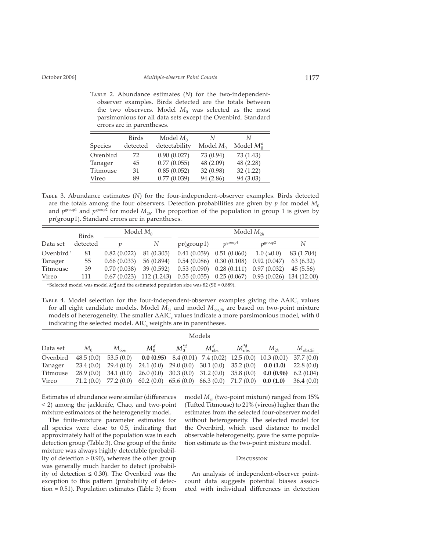TABLE 2. Abundance estimates (N) for the two-independentobserver examples. Birds detected are the totals between the two observers. Model  $M_0$  was selected as the most parsimonious for all data sets except the Ovenbird. Standard errors are in parentheses.

| Species  | Birds<br>detected | Model $M_0$<br>detectability | N<br>Model $M_0$ | N<br>Model $M_0^d$ |
|----------|-------------------|------------------------------|------------------|--------------------|
| Ovenbird | 72                | 0.90(0.027)                  | 73 (0.94)        | 73 (1.43)          |
| Tanager  | 45                | 0.77(0.055)                  | 48 (2.09)        | 48 (2.28)          |
| Titmouse | 31                | 0.85(0.052)                  | 32 (0.98)        | 32(1.22)           |
| Vireo    | 89                | 0.77(0.039)                  | 94 (2.86)        | 94 (3.03)          |

TABLE 3. Abundance estimates (N) for the four-independent-observer examples. Birds detected are the totals among the four observers. Detection probabilities are given by  $p$  for model  $M_0$ and  $p^{\text{group}}$  and  $p^{\text{group}}$  for model  $M_{2h}$ . The proportion of the population in group 1 is given by pr(group1). Standard errors are in parentheses.

|                       | Birds    |             | Model $M_{0}$ | Model $M_{2h}$ |                                                       |                   |            |  |
|-----------------------|----------|-------------|---------------|----------------|-------------------------------------------------------|-------------------|------------|--|
| Data set              | detected |             | N             | pr(group1)     | $n^{\text{group1}}$                                   | $n$ group2        | N          |  |
| Ovenbird <sup>a</sup> | 81       | 0.82(0.022) | 81 (0.305)    |                | $0.41(0.059)$ $0.51(0.060)$                           | $1.0 \approx 0.0$ | 83 (1.704) |  |
| Tanager               | 55       | 0.66(0.033) | 56 (0.894)    |                | $0.54(0.086)$ $0.30(0.108)$                           | 0.92(0.047)       | 63(6.32)   |  |
| Titmouse              | 39       | 0.70(0.038) | 39(0.592)     |                | $0.53(0.090)$ $0.28(0.111)$ $0.97(0.032)$             |                   | 45(5.56)   |  |
| Vireo                 | 111      | 0.67(0.023) | 112 (1.243)   |                | $0.55(0.055)$ $0.25(0.067)$ $0.93(0.026)$ 134 (12.00) |                   |            |  |

<sup>a</sup> Selected model was model  $M_0^a$  and the estimated population size was 82 (SE = 0.889).

TABLE 4. Model selection for the four-independent-observer examples giving the  $\triangle AIC_c$  values for all eight candidate models. Model  $M_{2h}$  and model  $M_{obs,2h}$  are based on two-point mixture models of heterogeneity. The smaller  $\triangle AIC_c$  values indicate a more parsimonious model, with 0 indicating the selected model. AIC<sub>c</sub> weights are in parentheses.

|          |           | Models        |                                                        |            |                 |                    |                                                                |                  |
|----------|-----------|---------------|--------------------------------------------------------|------------|-----------------|--------------------|----------------------------------------------------------------|------------------|
| Data set | $M_{0}$   | $M_{\rm obs}$ | $M_0^d$                                                | $M_0^{*d}$ | $M_{\rm obs}^d$ | $M_{\rm obs}^{*d}$ | $M_{2h}$                                                       | $M_{\rm obs,2h}$ |
| Ovenbird | 48.5(0.0) | 53.5(0.0)     |                                                        |            |                 |                    | <b>0.0 (0.95)</b> 8.4 (0.01) 7.4 (0.02) 12.5 (0.0) 10.3 (0.01) | 37.7(0.0)        |
| Tanager  | 23.4(0.0) | 29.4 (0.0)    | $24.1(0.0)$ $29.0(0.0)$ $30.1(0.0)$ $35.2(0.0)$        |            |                 |                    | 0.0(1.0)                                                       | 22.8(0.0)        |
| Titmouse | 28.9(0.0) | 34.1(0.0)     | $26.0(0.0)$ 30.3 (0.0) 31.2 (0.0) 35.8 (0.0)           |            |                 |                    | 0.0(0.96)                                                      | 6.2(0.04)        |
| Vireo    | 71.2(0.0) |               | 77.2 (0.0) 60.2 (0.0) 65.6 (0.0) 66.3 (0.0) 71.7 (0.0) |            |                 |                    | 0.0(1.0)                                                       | 36.4(0.0)        |

Estimates of abundance were similar (differences < 2) among the jackknife, Chao, and two-point mixture estimators of the heterogeneity model.

The finite-mixture parameter estimates for all species were close to 0.5, indicating that approximately half of the population was in each detection group (Table 3). One group of the finite mixture was always highly detectable (probability of detection > 0.90), whereas the other group was generally much harder to detect (probability of detection  $\leq$  0.30). The Ovenbird was the exception to this pattern (probability of detection = 0.51). Population estimates (Table 3) from model *M*2*<sup>h</sup>* (two-point mixture) ranged from 15% (Tufted Titmouse) to  $21\%$  (vireos) higher than the estimates from the selected four-observer model without heterogeneity. The selected model for the Ovenbird, which used distance to model observable heterogeneity, gave the same population estimate as the two-point mixture model.

#### Discussion

An analysis of independent-observer pointcount data suggests potential biases associated with individual differences in detection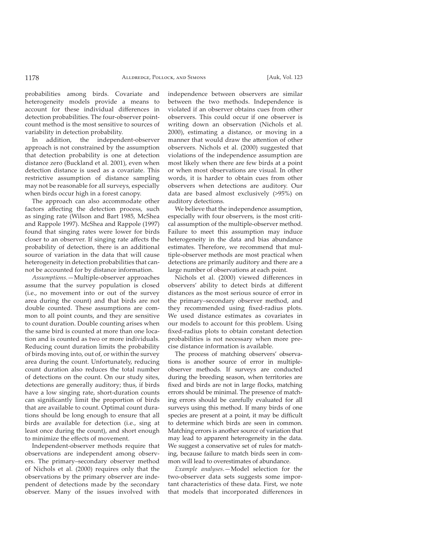probabilities among birds. Covariate and heterogeneity models provide a means to account for these individual differences in detection probabilities. The four-observer pointcount method is the most sensitive to sources of variability in detection probability.

In addition, the independent-observer approach is not constrained by the assumption that detection probability is one at detection distance zero (Buckland et al. 2001), even when detection distance is used as a covariate. This restrictive assumption of distance sampling may not be reasonable for all surveys, especially when birds occur high in a forest canopy.

The approach can also accommodate other factors affecting the detection process, such as singing rate (Wilson and Bart 1985, McShea and Rappole 1997). McShea and Rappole (1997) found that singing rates were lower for birds closer to an observer. If singing rate affects the probability of detection, there is an additional source of variation in the data that will cause heterogeneity in detection probabilities that cannot be accounted for by distance information.

*Assumptions.*—Multiple-observer approaches assume that the survey population is closed (i.e., no movement into or out of the survey area during the count) and that birds are not double counted. These assumptions are common to all point counts, and they are sensitive to count duration. Double counting arises when the same bird is counted at more than one location and is counted as two or more individuals. Reducing count duration limits the probability of birds moving into, out of, or within the survey area during the count. Unfortunately, reducing count duration also reduces the total number of detections on the count. On our study sites, detections are generally auditory; thus, if birds have a low singing rate, short-duration counts can significantly limit the proportion of birds that are available to count. Optimal count durations should be long enough to ensure that all birds are available for detection (i.e., sing at least once during the count), and short enough to minimize the effects of movement.

Independent-observer methods require that observations are independent among observers. The primary–secondary observer method of Nichols et al. (2000) requires only that the observations by the primary observer are independent of detections made by the secondary observer. Many of the issues involved with

independence between observers are similar between the two methods. Independence is violated if an observer obtains cues from other observers. This could occur if one observer is writing down an observation (Nichols et al. 2000), estimating a distance, or moving in a manner that would draw the attention of other observers. Nichols et al. (2000) suggested that violations of the independence assumption are most likely when there are few birds at a point or when most observations are visual. In other words, it is harder to obtain cues from other observers when detections are auditory. Our data are based almost exclusively (>95%) on auditory detections.

We believe that the independence assumption, especially with four observers, is the most critical assumption of the multiple-observer method. Failure to meet this assumption may induce heterogeneity in the data and bias abundance estimates. Therefore, we recommend that multiple-observer methods are most practical when detections are primarily auditory and there are a large number of observations at each point.

Nichols et al. (2000) viewed differences in observers' ability to detect birds at different distances as the most serious source of error in the primary–secondary observer method, and they recommended using fixed-radius plots. We used distance estimates as covariates in our models to account for this problem. Using fi xed-radius plots to obtain constant detection probabilities is not necessary when more precise distance information is available.

The process of matching observers' observations is another source of error in multipleobserver methods. If surveys are conducted during the breeding season, when territories are fixed and birds are not in large flocks, matching errors should be minimal. The presence of matching errors should be carefully evaluated for all surveys using this method. If many birds of one species are present at a point, it may be difficult to determine which birds are seen in common. Matching errors is another source of variation that may lead to apparent heterogeneity in the data. We suggest a conservative set of rules for matching, because failure to match birds seen in common will lead to overestimates of abundance.

*Example analyses*.—Model selection for the two-observer data sets suggests some important characteristics of these data. First, we note that models that incorporated differences in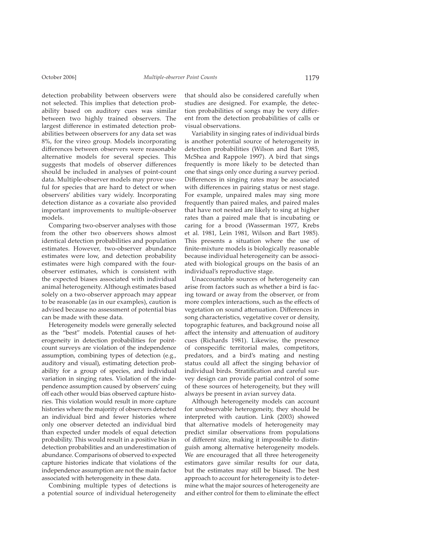detection probability between observers were not selected. This implies that detection probability based on auditory cues was similar between two highly trained observers. The largest difference in estimated detection probabilities between observers for any data set was 8%, for the vireo group. Models incorporating differences between observers were reasonable alternative models for several species. This suggests that models of observer differences should be included in analyses of point-count data. Multiple-observer models may prove useful for species that are hard to detect or when observers' abilities vary widely. Incorporating detection distance as a covariate also provided important improvements to multiple-observer models.

Comparing two-observer analyses with those from the other two observers shows almost identical detection probabilities and population estimates. However, two-observer abundance estimates were low, and detection probability estimates were high compared with the fourobserver estimates, which is consistent with the expected biases associated with individual animal heterogeneity. Although estimates based solely on a two-observer approach may appear to be reasonable (as in our examples), caution is advised because no assessment of potential bias can be made with these data.

Heterogeneity models were generally selected as the "best" models. Potential causes of heterogeneity in detection probabilities for pointcount surveys are violation of the independence assumption, combining types of detection (e.g., auditory and visual), estimating detection probability for a group of species, and individual variation in singing rates. Violation of the independence assumption caused by observers' cuing off each other would bias observed capture histories. This violation would result in more capture histories where the majority of observers detected an individual bird and fewer histories where only one observer detected an individual bird than expected under models of equal detection probability. This would result in a positive bias in detection probabilities and an underestimation of abundance. Comparisons of observed to expected capture histories indicate that violations of the independence assumption are not the main factor associated with heterogeneity in these data.

Combining multiple types of detections is a potential source of individual heterogeneity

that should also be considered carefully when studies are designed. For example, the detection probabilities of songs may be very different from the detection probabilities of calls or visual observations.

Variability in singing rates of individual birds is another potential source of heterogeneity in detection probabilities (Wilson and Bart 1985, McShea and Rappole 1997). A bird that sings frequently is more likely to be detected than one that sings only once during a survey period. Differences in singing rates may be associated with differences in pairing status or nest stage. For example, unpaired males may sing more frequently than paired males, and paired males that have not nested are likely to sing at higher rates than a paired male that is incubating or caring for a brood (Wasserman 1977, Krebs et al. 1981, Lein 1981, Wilson and Bart 1985). This presents a situation where the use of finite-mixture models is biologically reasonable because individual heterogeneity can be associated with biological groups on the basis of an individual's reproductive stage.

Unaccountable sources of heterogeneity can arise from factors such as whether a bird is facing toward or away from the observer, or from more complex interactions, such as the effects of vegetation on sound attenuation. Differences in song characteristics, vegetative cover or density, topographic features, and background noise all affect the intensity and attenuation of auditory cues (Richards 1981). Likewise, the presence of conspecific territorial males, competitors, predators, and a bird's mating and nesting status could all affect the singing behavior of individual birds. Stratification and careful survey design can provide partial control of some of these sources of heterogeneity, but they will always be present in avian survey data.

Although heterogeneity models can account for unobservable heterogeneity, they should be interpreted with caution. Link (2003) showed that alternative models of heterogeneity may predict similar observations from populations of different size, making it impossible to distinguish among alternative heterogeneity models. We are encouraged that all three heterogeneity estimators gave similar results for our data, but the estimates may still be biased. The best approach to account for heterogeneity is to determine what the major sources of heterogeneity are and either control for them to eliminate the effect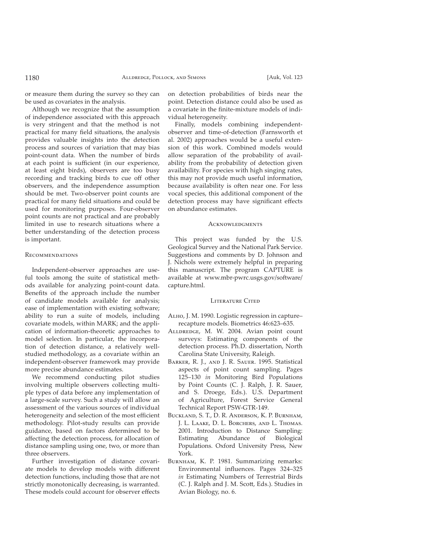or measure them during the survey so they can be used as covariates in the analysis.

Although we recognize that the assumption of independence associated with this approach is very stringent and that the method is not practical for many field situations, the analysis provides valuable insights into the detection process and sources of variation that may bias point-count data. When the number of birds at each point is sufficient (in our experience, at least eight birds), observers are too busy recording and tracking birds to cue off other observers, and the independence assumption should be met. Two-observer point counts are practical for many field situations and could be used for monitoring purposes. Four-observer point counts are not practical and are probably limited in use to research situations where a better understanding of the detection process is important.

# <u>Recommendations</u>

Independent-observer approaches are useful tools among the suite of statistical methods available for analyzing point-count data. Benefits of the approach include the number of candidate models available for analysis; ease of implementation with existing software; ability to run a suite of models, including covariate models, within MARK; and the application of information-theoretic approaches to model selection. In particular, the incorporation of detection distance, a relatively wellstudied methodology, as a covariate within an independent-observer framework may provide more precise abundance estimates.

We recommend conducting pilot studies involving multiple observers collecting multiple types of data before any implementation of a large-scale survey. Such a study will allow an assessment of the various sources of individual heterogeneity and selection of the most efficient methodology. Pilot-study results can provide guidance, based on factors determined to be affecting the detection process, for allocation of distance sampling using one, two, or more than three observers.

Further investigation of distance covariate models to develop models with different detection functions, including those that are not strictly monotonically decreasing, is warranted. These models could account for observer effects

on detection probabilities of birds near the point. Detection distance could also be used as a covariate in the finite-mixture models of individual heterogeneity.

Finally, models combining independentobserver and time-of-detection (Farnsworth et al. 2002) approaches would be a useful extension of this work. Combined models would allow separation of the probability of availability from the probability of detection given availability. For species with high singing rates, this may not provide much useful information, because availability is often near one. For less vocal species, this additional component of the detection process may have significant effects on abundance estimates.

#### Acknowledgments

This project was funded by the U.S. Geological Survey and the National Park Service. Suggestions and comments by D. Johnson and J. Nichols were extremely helpful in preparing this manuscript. The program CAPTURE is available at www.mbr-pwrc.usgs.gov/software/ capture.html.

## Literature Cited

- ALHO, J. M. 1990. Logistic regression in capture– recapture models. Biometrics 46:623–635.
- ALLDREDGE, M. W. 2004. Avian point count surveys: Estimating components of the detection process. Ph.D. dissertation, North Carolina State University, Raleigh.
- Barker, R. J., and J. R. Sauer. 1995. Statistical aspects of point count sampling. Pages 125–130 *in* Monitoring Bird Populations by Point Counts (C. J. Ralph, J. R. Sauer, and S. Droege, Eds.). U.S. Department of Agriculture, Forest Service General Technical Report PSW-GTR-149.
- Buckland, S. T., D. R. Anderson, K. P. Burnham, J. L. Laake, D. L. Borchers, and L. Thomas. 2001. Introduction to Distance Sampling: Estimating Abundance of Biological Populations. Oxford University Press, New York.
- Burnнам, K. P. 1981. Summarizing remarks: Environmental influences. Pages 324-325 *in* Estimating Numbers of Terrestrial Birds (C. J. Ralph and J. M. Scott, Eds.). Studies in Avian Biology, no. 6.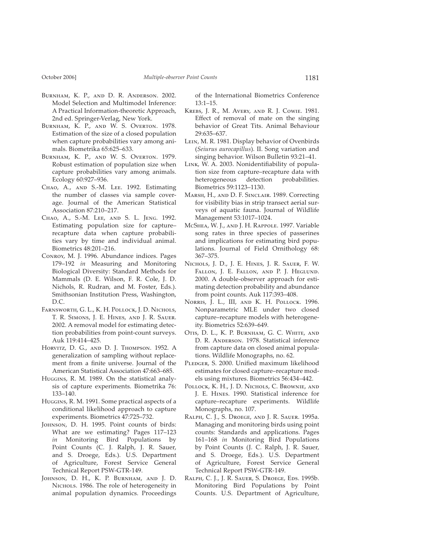- Burnham, K. P., and D. R. Anderson. 2002. Model Selection and Multimodel Inference: A Practical Information-theoretic Approach, 2nd ed. Springer-Verlag, New York.
- Burnham, K. P., and W. S. Overton. 1978. Estimation of the size of a closed population when capture probabilities vary among animals. Biometrika 65:625–633.
- Burnham, K. P., and W. S. Overton. 1979. Robust estimation of population size when capture probabilities vary among animals. Ecology 60:927–936.
- Chao, A., and S.-M. Lee. 1992. Estimating the number of classes via sample coverage. Journal of the American Statistical Association 87:210–217.
- Chao, A., S.-M. Lee, and S. L. Jeng. 1992. Estimating population size for capture– recapture data when capture probabilities vary by time and individual animal. Biometrics 48:201–216.
- Conroy, M. J. 1996. Abundance indices. Pages 179–192 *in* Measuring and Monitoring Biological Diversity: Standard Methods for Mammals (D. E. Wilson, F. R. Cole, J. D. Nichols, R. Rudran, and M. Foster, Eds.). Smithsonian Institution Press, Washington, D.C.
- Farnsworth, G. L., K. H. Pollock, J. D. Nichols, T. R. Simons, J. E. Hines, and J. R. Sauer. 2002. A removal model for estimating detection probabilities from point-count surveys. Auk 119:414–425.
- Horvitz, D. G., and D. J. Thompson. 1952. A generalization of sampling without replacement from a finite universe. Journal of the American Statistical Association 47:663–685.
- Huggins, R. M. 1989. On the statistical analysis of capture experiments. Biometrika 76: 133–140.
- Huggins, R. M. 1991. Some practical aspects of a conditional likelihood approach to capture experiments. Biometrics 47:725–732.
- J , D. H. 1995. Point counts of birds: What are we estimating? Pages 117–123 *in* Monitoring Bird Populations by Point Counts (C. J. Ralph, J. R. Sauer, and S. Droege, Eds.). U.S. Department of Agriculture, Forest Service General Technical Report PSW-GTR-149.
- Johnson, D. H., K. P. Burnham, and J. D. NICHOLS. 1986. The role of heterogeneity in animal population dynamics. Proceedings

of the International Biometrics Conference 13:1–15.

- Krebs, J. R., M. Avery, and R. J. Cowie. 1981. Effect of removal of mate on the singing behavior of Great Tits. Animal Behaviour 29:635–637.
- L , M. R. 1981. Display behavior of Ovenbirds (*Seiurus aurocapillus*). II. Song variation and singing behavior. Wilson Bulletin 93:21–41.
- LINK, W. A. 2003. Nonidentifiability of population size from capture–recapture data with heterogeneous detection probabilities. Biometrics 59:1123–1130.
- Marsh, H., and D. F. Sinclair. 1989. Correcting for visibility bias in strip transect aerial surveys of aquatic fauna. Journal of Wildlife Management 53:1017–1024.
- McSнеа, W. J., and J. H. Rappole. 1997. Variable song rates in three species of passerines and implications for estimating bird populations. Journal of Field Ornithology 68: 367–375.
- Nichols, J. D., J. E. Hines, J. R. Sauer, F. W. Fallon, J. E. Fallon, and P. J. Heglund. 2000. A double-observer approach for estimating detection probability and abundance from point counts. Auk 117:393–408.
- Norris, J. L., III, and K. H. Pollock. 1996. Non parametric MLE under two closed capture–recapture models with heterogeneity. Biometrics 52:639–649.
- Otis, D. L., K. P. Burnham, G. C. White, and D. R. Anderson. 1978. Statistical inference from capture data on closed animal populations. Wildlife Monographs, no. 62.
- PLEDGER, S. 2000. Unified maximum likelihood estimates for closed capture–recapture models using mixtures. Biometrics 56:434–442.
- Pollock, K. H., J. D. Nichols, C. Brownie, and J. E. H . 1990. Statistical inference for capture–recapture experiments. Wildlife Monographs, no. 107.
- Ralph, C. J., S. Droege, and J. R. Sauer. 1995a. Managing and monitoring birds using point counts: Standards and applications. Pages 161–168 *in* Monitoring Bird Populations by Point Counts (J. C. Ralph, J. R. Sauer, and S. Droege, Eds.). U.S. Department of Agriculture, Forest Service General Technical Report PSW-GTR-149.
- RALPH, C. J., J. R. SAUER, S. DROEGE, EDS. 1995b. Monitoring Bird Populations by Point Counts. U.S. Department of Agriculture,